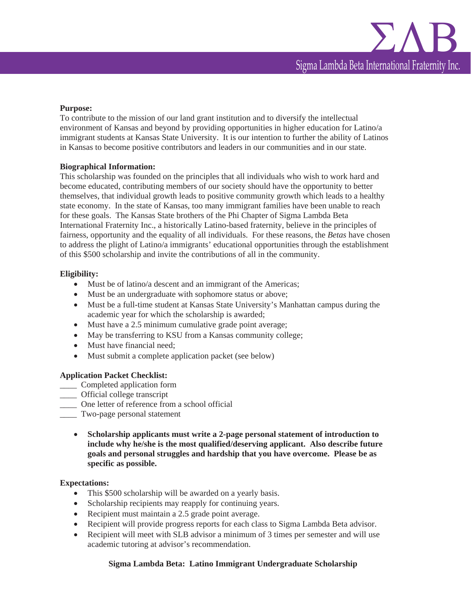#### **Purpose:**

To contribute to the mission of our land grant institution and to diversify the intellectual environment of Kansas and beyond by providing opportunities in higher education for Latino/a immigrant students at Kansas State University. It is our intention to further the ability of Latinos in Kansas to become positive contributors and leaders in our communities and in our state.

#### **Biographical Information:**

This scholarship was founded on the principles that all individuals who wish to work hard and become educated, contributing members of our society should have the opportunity to better themselves, that individual growth leads to positive community growth which leads to a healthy state economy. In the state of Kansas, too many immigrant families have been unable to reach for these goals. The Kansas State brothers of the Phi Chapter of Sigma Lambda Beta International Fraternity Inc., a historically Latino-based fraternity, believe in the principles of fairness, opportunity and the equality of all individuals. For these reasons, the *Betas* have chosen to address the plight of Latino/a immigrants' educational opportunities through the establishment of this \$500 scholarship and invite the contributions of all in the community.

## **Eligibility:**

- $\bullet$  Must be of latino/a descent and an immigrant of the Americas;
- Must be an undergraduate with sophomore status or above;
- Must be a full-time student at Kansas State University's Manhattan campus during the academic year for which the scholarship is awarded;
- Must have a 2.5 minimum cumulative grade point average;
- May be transferring to KSU from a Kansas community college;
- Must have financial need;
- Must submit a complete application packet (see below)

#### **Application Packet Checklist:**

- \_\_\_\_ Completed application form
- \_\_\_\_ Official college transcript
- \_\_\_\_ One letter of reference from a school official
- \_\_\_\_ Two-page personal statement
	- x **Scholarship applicants must write a 2-page personal statement of introduction to include why he/she is the most qualified/deserving applicant. Also describe future goals and personal struggles and hardship that you have overcome. Please be as specific as possible.**

#### **Expectations:**

- This \$500 scholarship will be awarded on a yearly basis.
- Scholarship recipients may reapply for continuing years.
- Recipient must maintain a 2.5 grade point average.
- Recipient will provide progress reports for each class to Sigma Lambda Beta advisor.
- Recipient will meet with SLB advisor a minimum of 3 times per semester and will use academic tutoring at advisor's recommendation.

## **Sigma Lambda Beta: Latino Immigrant Undergraduate Scholarship**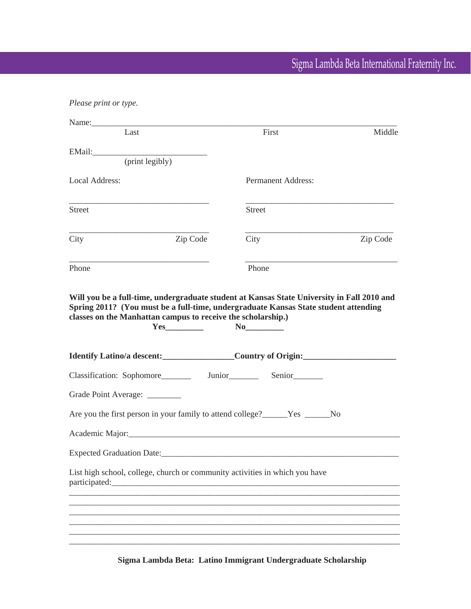# Sigma Lambda Beta International Fraternity Inc.

| Please print or type.                                                        |                           |          |
|------------------------------------------------------------------------------|---------------------------|----------|
| Last                                                                         | First                     | Middle   |
|                                                                              |                           |          |
| (print legibly)                                                              |                           |          |
| Local Address:                                                               | <b>Permanent Address:</b> |          |
| <b>Street</b>                                                                | <b>Street</b>             |          |
| City<br>Zip Code                                                             | City                      | Zip Code |
| Phone                                                                        | Phone                     |          |
| Identify Latino/a descent: Country of Origin:                                |                           |          |
|                                                                              |                           |          |
|                                                                              |                           |          |
| Grade Point Average: ________                                                |                           |          |
| Are you the first person in your family to attend college?______Yes ______No |                           |          |
| Academic Major: Mathematic Major:                                            |                           |          |
|                                                                              |                           |          |
| List high school, college, church or community activities in which you have  |                           |          |
|                                                                              |                           |          |
|                                                                              |                           |          |
|                                                                              |                           |          |
|                                                                              |                           |          |

**Sigma Lambda Beta: Latino Immigrant Undergraduate Scholarship**